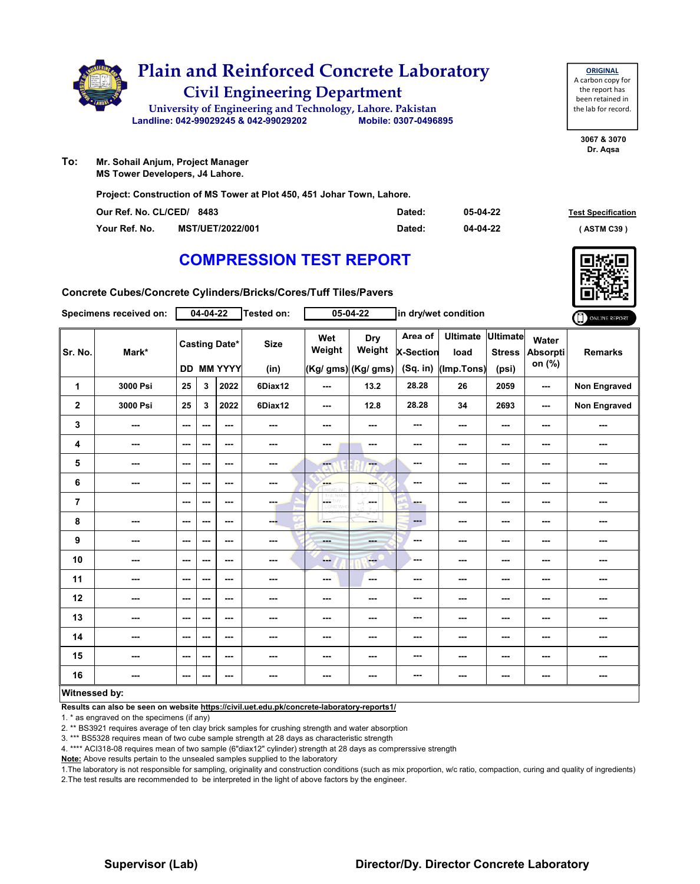

| To: | Mr. Sohail Anjum, Project Manager |
|-----|-----------------------------------|
|     | $\sim$ $\sim$ $\sim$              |

**MS Tower Developers, J4 Lahore.**

**Project: Construction of MS Tower at Plot 450, 451 Johar Town, Lahore.**

| Our Ref. No. CL/CED/ 8483 |                         | Dated: | 05-04-22 | <b>Test Specification</b> |
|---------------------------|-------------------------|--------|----------|---------------------------|
| Your Ref. No.             | <b>MST/UET/2022/001</b> | Dated: | 04-04-22 | (ASTM C39)                |

## **COMPRESSION TEST REPORT**

**3067 & 3070 Dr. Aqsa**

**ORIGINAL** A carbon copy for the report has been retained in the lab for record.



**Concrete Cubes/Concrete Cylinders/Bricks/Cores/Tuff Tiles/Pavers**

|                | Specimens received on:   |                          | 04-04-22 |                                           | <b>Tested on:</b>   |                                                                      | $05 - 04 - 22$                              |                                           | in dry/wet condition                  |                                           |                                    | ONLINE REPORT       |
|----------------|--------------------------|--------------------------|----------|-------------------------------------------|---------------------|----------------------------------------------------------------------|---------------------------------------------|-------------------------------------------|---------------------------------------|-------------------------------------------|------------------------------------|---------------------|
| Sr. No.        | Mark*                    |                          |          | <b>Casting Date*</b><br><b>DD MM YYYY</b> | <b>Size</b><br>(in) | Wet<br>Weight                                                        | <b>Dry</b><br>Weight<br>(Kg/ gms) (Kg/ gms) | Area of<br><b>X-Section</b><br>$(Sq.$ in) | <b>Ultimate</b><br>load<br>(Imp.Tons) | <b>Ultimate</b><br><b>Stress</b><br>(psi) | Water<br><b>Absorpti</b><br>on (%) | <b>Remarks</b>      |
| 1              | 3000 Psi                 | 25                       | 3        | 2022                                      | 6Diax12             | ---                                                                  | 13.2                                        | 28.28                                     | 26                                    | 2059                                      | ---                                | <b>Non Engraved</b> |
| $\mathbf 2$    | 3000 Psi                 | 25                       | 3        | 2022                                      | 6Diax12             | ---                                                                  | 12.8                                        | 28.28                                     | 34                                    | 2693                                      | ---                                | Non Engraved        |
| 3              | $\sim$                   | $\sim$ $\sim$            | ---      | $\overline{\phantom{a}}$                  | $\sim$              | ---                                                                  | ---                                         | ---                                       | ---                                   | ---                                       | ---                                | ---                 |
| 4              | $\overline{\phantom{a}}$ | $\overline{\phantom{a}}$ | ---      | $\sim$ $\sim$                             | ---                 | ---                                                                  | ---                                         | ---                                       | ---                                   | ---                                       | ---                                | ---                 |
| 5              | $\sim$                   | $\sim$ $\sim$            | ---      | $\sim$ $\sim$                             | ---                 | ---                                                                  | $-$                                         | ---                                       | ---                                   | $\overline{\phantom{a}}$                  | ---                                | ---                 |
| 6              | ---                      | $\overline{\phantom{a}}$ | ---      | $\overline{\phantom{a}}$                  | $\sim$              | ---<br>burari is                                                     | ---                                         | ---                                       | ---                                   | ---                                       | ---                                | ---                 |
| $\overline{7}$ |                          | $\overline{\phantom{a}}$ | ---      | $\sim$                                    | $\sim$ 100 $\mu$    | $\int_{\frac{\cos n}{\cos n} \sin n}^{\frac{\cos n}{\cos n} \cos n}$ | ---                                         | ---                                       | ---                                   | ---                                       |                                    | ---                 |
| 8              | $\overline{\phantom{a}}$ | $\overline{\phantom{a}}$ | ---      | $\sim$ $\sim$                             | $-$                 | ---                                                                  | ---                                         | $\cdots$                                  | ---                                   | $\overline{\phantom{a}}$                  | ---                                | ---                 |
| 9              | $\sim$                   | $\sim$ $\sim$            | ---      | $- - -$                                   | $\sim$              | ---                                                                  | ---                                         | ---                                       | ---                                   | ---                                       | ---                                | ---                 |
| 10             | $\overline{\phantom{a}}$ | $\sim$                   | $--$     | $\sim$ $\sim$                             | ---                 | --                                                                   | <b>FOR</b>                                  | ---                                       | ---                                   | ---                                       | ---                                | ---                 |
| 11             | $\cdots$                 | $\overline{\phantom{a}}$ | ---      | $\sim$                                    | ---                 | $--$                                                                 | $\sim$                                      | ---                                       | ---                                   | ---                                       |                                    | ---                 |
| 12             | ---                      | $\sim$                   | ---      | $\sim$ $\sim$                             | ---                 | ---                                                                  | ---                                         | ---                                       | ---                                   | ---                                       |                                    | ---                 |
| 13             | $\overline{\phantom{a}}$ | $\sim$                   | ---      | $\sim$ $\sim$                             | $\sim$              | ---                                                                  | $\sim$                                      | ---                                       | ---                                   | $\overline{\phantom{a}}$                  | ---                                | ---                 |
| 14             | $\overline{\phantom{a}}$ | $\sim$                   | ---      | $\sim$ $\sim$                             | $\sim$              | ---                                                                  | ---                                         | ---                                       | ---                                   | ---                                       | ---                                | ---                 |
| 15             | ---                      | $\sim$                   | ---      | $\sim$ $\sim$                             | $\sim$              | ---                                                                  | ---                                         | ---                                       | ---                                   | ---                                       | ---                                | ---                 |
| 16             | ---                      | $\sim$                   | ---      | $\sim$                                    | $\sim$              | ---                                                                  | ---                                         | ---                                       | ---                                   | ---                                       | $\cdots$                           | ---                 |
| Witnessed by:  |                          |                          |          |                                           |                     |                                                                      |                                             |                                           |                                       |                                           |                                    |                     |

**Results can also be seen on website https://civil.uet.edu.pk/concrete-laboratory-reports1/**

1. \* as engraved on the specimens (if any)

2. \*\* BS3921 requires average of ten clay brick samples for crushing strength and water absorption

3. \*\*\* BS5328 requires mean of two cube sample strength at 28 days as characteristic strength

4. \*\*\*\* ACI318-08 requires mean of two sample (6"diax12" cylinder) strength at 28 days as comprerssive strength

**Note:** Above results pertain to the unsealed samples supplied to the laboratory

1.The laboratory is not responsible for sampling, originality and construction conditions (such as mix proportion, w/c ratio, compaction, curing and quality of ingredients) 2.The test results are recommended to be interpreted in the light of above factors by the engineer.